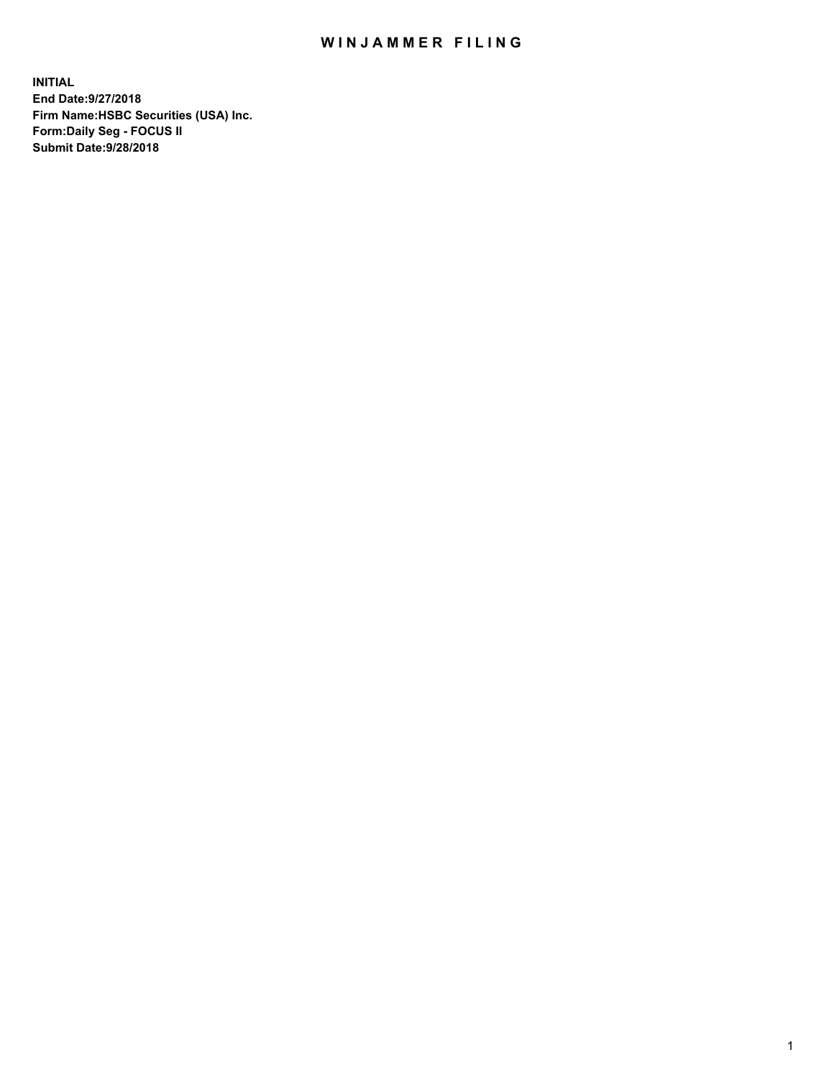## WIN JAMMER FILING

**INITIAL End Date:9/27/2018 Firm Name:HSBC Securities (USA) Inc. Form:Daily Seg - FOCUS II Submit Date:9/28/2018**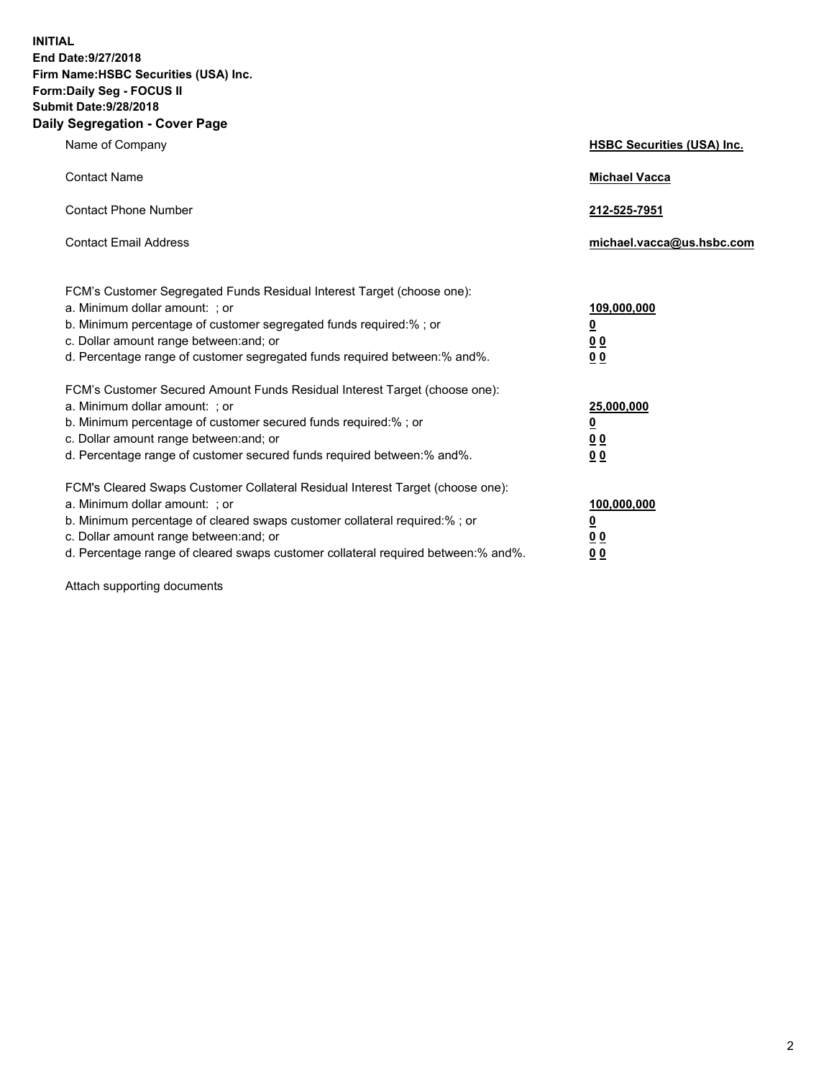**INITIAL End Date:9/27/2018 Firm Name:HSBC Securities (USA) Inc. Form:Daily Seg - FOCUS II Submit Date:9/28/2018 Daily Segregation - Cover Page**

| Name of Company                                                                                                                                                                                                                                                                                                                | <b>HSBC Securities (USA) Inc.</b>                                          |
|--------------------------------------------------------------------------------------------------------------------------------------------------------------------------------------------------------------------------------------------------------------------------------------------------------------------------------|----------------------------------------------------------------------------|
| <b>Contact Name</b>                                                                                                                                                                                                                                                                                                            | <b>Michael Vacca</b>                                                       |
| <b>Contact Phone Number</b>                                                                                                                                                                                                                                                                                                    | 212-525-7951                                                               |
| <b>Contact Email Address</b>                                                                                                                                                                                                                                                                                                   | michael.vacca@us.hsbc.com                                                  |
| FCM's Customer Segregated Funds Residual Interest Target (choose one):<br>a. Minimum dollar amount: : or<br>b. Minimum percentage of customer segregated funds required:% ; or<br>c. Dollar amount range between: and; or<br>d. Percentage range of customer segregated funds required between:% and%.                         | 109,000,000<br>$\overline{\mathbf{0}}$<br>0 <sub>0</sub><br>0 <sub>0</sub> |
| FCM's Customer Secured Amount Funds Residual Interest Target (choose one):<br>a. Minimum dollar amount: ; or<br>b. Minimum percentage of customer secured funds required:%; or<br>c. Dollar amount range between: and; or<br>d. Percentage range of customer secured funds required between:% and%.                            | 25,000,000<br>$\overline{\mathbf{0}}$<br>0 <sub>0</sub><br>0 <sub>0</sub>  |
| FCM's Cleared Swaps Customer Collateral Residual Interest Target (choose one):<br>a. Minimum dollar amount: ; or<br>b. Minimum percentage of cleared swaps customer collateral required:% ; or<br>c. Dollar amount range between: and; or<br>d. Percentage range of cleared swaps customer collateral required between:% and%. | 100,000,000<br>$\overline{\mathbf{0}}$<br>0 <sub>0</sub><br>0 <sub>0</sub> |

Attach supporting documents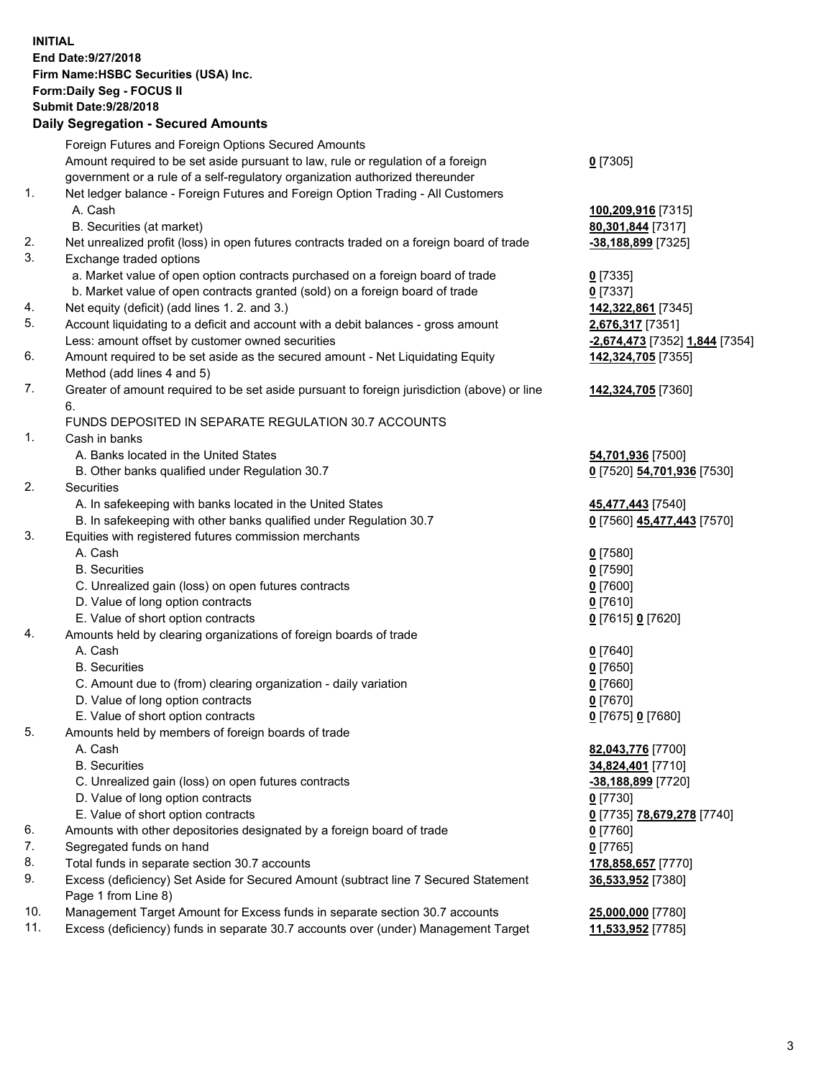**INITIAL End Date:9/27/2018 Firm Name:HSBC Securities (USA) Inc. Form:Daily Seg - FOCUS II Submit Date:9/28/2018 Daily Segregation - Secured Amounts** Foreign Futures and Foreign Options Secured Amounts Amount required to be set aside pursuant to law, rule or regulation of a foreign government or a rule of a self-regulatory organization authorized thereunder 1. Net ledger balance - Foreign Futures and Foreign Option Trading - All Customers A. Cash **100,209,916** [7315] B. Securities (at market) **80,301,844** [7317] 2. Net unrealized profit (loss) in open futures contracts traded on a foreign board of trade **-38,188,899** [7325] 3. Exchange traded options a. Market value of open option contracts purchased on a foreign board of trade **0** [7335] b. Market value of open contracts granted (sold) on a foreign board of trade **0** [7337] 4. Net equity (deficit) (add lines 1. 2. and 3.) **142,322,861** [7345] 5. Account liquidating to a deficit and account with a debit balances - gross amount **2,676,317** [7351] Less: amount offset by customer owned securities **-2,674,473** [7352] **1,844** [7354] 6. Amount required to be set aside as the secured amount - Net Liquidating Equity Method (add lines 4 and 5) 7. Greater of amount required to be set aside pursuant to foreign jurisdiction (above) or line 6. FUNDS DEPOSITED IN SEPARATE REGULATION 30.7 ACCOUNTS 1. Cash in banks A. Banks located in the United States **54,701,936** [7500] B. Other banks qualified under Regulation 30.7 **0** [7520] **54,701,936** [7530] 2. Securities A. In safekeeping with banks located in the United States **45,477,443** [7540] B. In safekeeping with other banks qualified under Regulation 30.7 **0** [7560] **45,477,443** [7570] 3. Equities with registered futures commission merchants A. Cash **0** [7580] B. Securities **0** [7590]

- C. Unrealized gain (loss) on open futures contracts **0** [7600]
- D. Value of long option contracts **0** [7610]
- E. Value of short option contracts **0** [7615] **0** [7620]
- 4. Amounts held by clearing organizations of foreign boards of trade
	- A. Cash **0** [7640]
	- B. Securities **0** [7650]
	- C. Amount due to (from) clearing organization daily variation **0** [7660]
	- D. Value of long option contracts **0** [7670]
	- E. Value of short option contracts **0** [7675] **0** [7680]
- 5. Amounts held by members of foreign boards of trade
	-
	-
	- C. Unrealized gain (loss) on open futures contracts **-38,188,899** [7720]
	- D. Value of long option contracts **0** [7730]
	- E. Value of short option contracts **0** [7735] **78,679,278** [7740]
- 6. Amounts with other depositories designated by a foreign board of trade **0** [7760]
- 7. Segregated funds on hand **0** [7765]
- 8. Total funds in separate section 30.7 accounts **178,858,657** [7770]
- 9. Excess (deficiency) Set Aside for Secured Amount (subtract line 7 Secured Statement Page 1 from Line 8)
- 10. Management Target Amount for Excess funds in separate section 30.7 accounts **25,000,000** [7780]
- 11. Excess (deficiency) funds in separate 30.7 accounts over (under) Management Target **11,533,952** [7785]

**142,324,705** [7355]

**142,324,705** [7360]

 A. Cash **82,043,776** [7700] B. Securities **34,824,401** [7710] **36,533,952** [7380]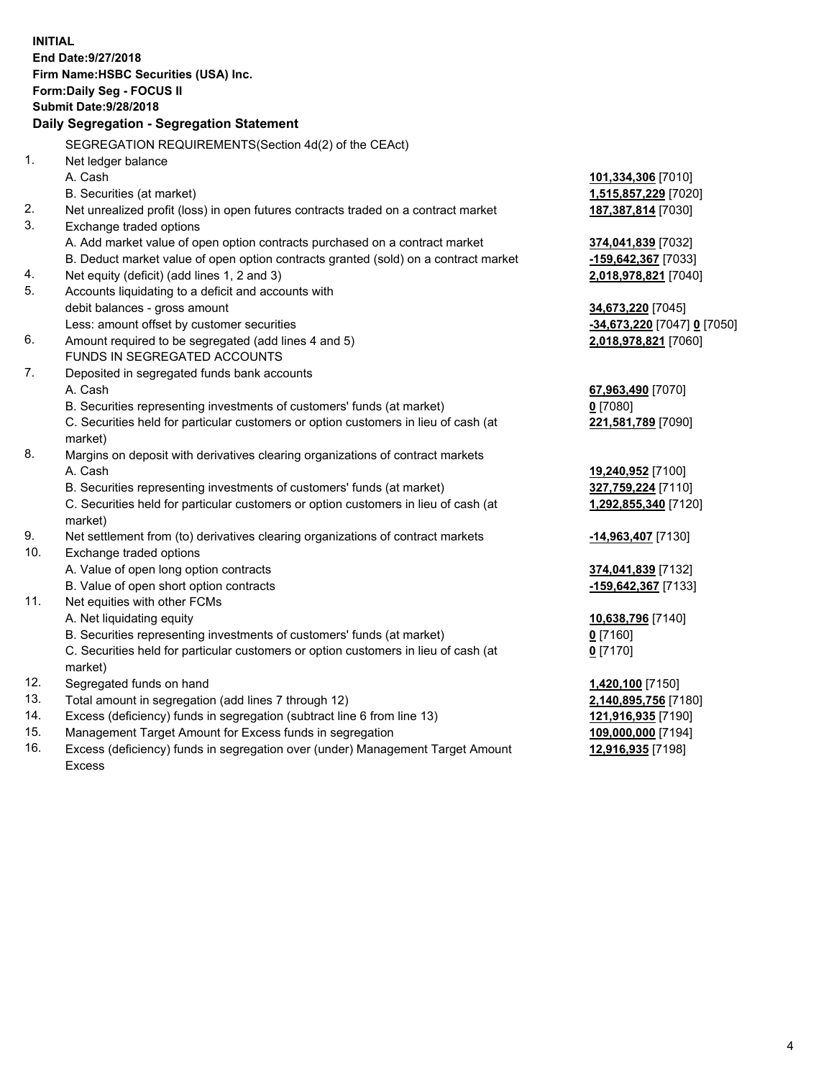| <b>INITIAL</b> | End Date: 9/27/2018                                                                 |                             |
|----------------|-------------------------------------------------------------------------------------|-----------------------------|
|                |                                                                                     |                             |
|                | Firm Name: HSBC Securities (USA) Inc.                                               |                             |
|                | Form: Daily Seg - FOCUS II                                                          |                             |
|                | <b>Submit Date: 9/28/2018</b>                                                       |                             |
|                | Daily Segregation - Segregation Statement                                           |                             |
|                | SEGREGATION REQUIREMENTS(Section 4d(2) of the CEAct)                                |                             |
| 1.             | Net ledger balance                                                                  |                             |
|                | A. Cash                                                                             | 101,334,306 [7010]          |
|                | B. Securities (at market)                                                           | 1,515,857,229 [7020]        |
| 2.             | Net unrealized profit (loss) in open futures contracts traded on a contract market  | 187,387,814 [7030]          |
| 3.             | Exchange traded options                                                             |                             |
|                | A. Add market value of open option contracts purchased on a contract market         | 374,041,839 [7032]          |
|                | B. Deduct market value of open option contracts granted (sold) on a contract market | -159,642,367 [7033]         |
| 4.             | Net equity (deficit) (add lines 1, 2 and 3)                                         | 2,018,978,821 [7040]        |
| 5.             | Accounts liquidating to a deficit and accounts with                                 |                             |
|                | debit balances - gross amount                                                       | 34,673,220 [7045]           |
|                | Less: amount offset by customer securities                                          | -34,673,220 [7047] 0 [7050] |
| 6.             | Amount required to be segregated (add lines 4 and 5)                                | 2,018,978,821 [7060]        |
|                | FUNDS IN SEGREGATED ACCOUNTS                                                        |                             |
| 7.             | Deposited in segregated funds bank accounts                                         |                             |
|                | A. Cash                                                                             | 67,963,490 [7070]           |
|                | B. Securities representing investments of customers' funds (at market)              | $0$ [7080]                  |
|                | C. Securities held for particular customers or option customers in lieu of cash (at | 221,581,789 [7090]          |
|                | market)                                                                             |                             |
| 8.             | Margins on deposit with derivatives clearing organizations of contract markets      |                             |
|                | A. Cash                                                                             | 19,240,952 [7100]           |
|                | B. Securities representing investments of customers' funds (at market)              | 327,759,224 [7110]          |
|                | C. Securities held for particular customers or option customers in lieu of cash (at | 1,292,855,340 [7120]        |
|                | market)                                                                             |                             |
| 9.             | Net settlement from (to) derivatives clearing organizations of contract markets     | -14,963,407 [7130]          |
| 10.            | Exchange traded options                                                             |                             |
|                | A. Value of open long option contracts                                              | 374,041,839 [7132]          |
|                | B. Value of open short option contracts                                             | -159,642,367 [7133]         |
| 11.            | Net equities with other FCMs                                                        |                             |
|                | A. Net liquidating equity                                                           | 10,638,796 [7140]           |
|                | B. Securities representing investments of customers' funds (at market)              | $0$ [7160]                  |
|                | C. Securities held for particular customers or option customers in lieu of cash (at | $0$ [7170]                  |
|                | market)                                                                             |                             |
| 12.            | Segregated funds on hand                                                            | 1,420,100 [7150]            |
| 13.            | Total amount in segregation (add lines 7 through 12)                                | 2,140,895,756 [7180]        |
| 14.            | Excess (deficiency) funds in segregation (subtract line 6 from line 13)             | 121,916,935 [7190]          |
| 15.            | Management Target Amount for Excess funds in segregation                            | 109,000,000 [7194]          |
|                |                                                                                     |                             |

16. Excess (deficiency) funds in segregation over (under) Management Target Amount Excess

**12,916,935** [7198]